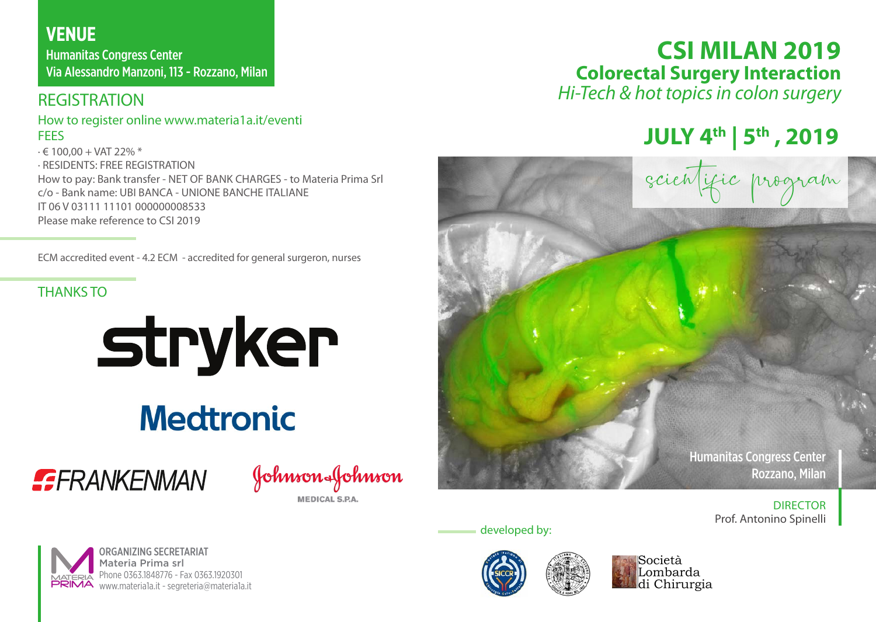# **VENUE**

Humanitas Congress Center Via Alessandro Manzoni, 113 - Rozzano, Milan

## **REGISTRATION**

#### How to register online www.materia1a.it/eventi **FFFS**

∙ € 100,00 + VAT 22% \* ∙ RESIDENTS: FREE REGISTRATION How to pay: Bank transfer - NET OF BANK CHARGES - to Materia Prima Srl c/o - Bank name: UBI BANCA - UNIONE BANCHE ITALIANE IT 06 V 03111 11101 000000008533 Please make reference to CSI 2019

ECM accredited event - 4.2 ECM - accredited for general surgeron, nurses

### THANKS TO

# stryker

# **Medtronic**



Johnson&Johnson

**MEDICAL S.P.A** 



**JULY 4th | 5th , 2019**

scientific program

Humanitas Congress Center Rozzano, Milan

> DIRECTOR Prof. Antonino Spinelli

developed by: